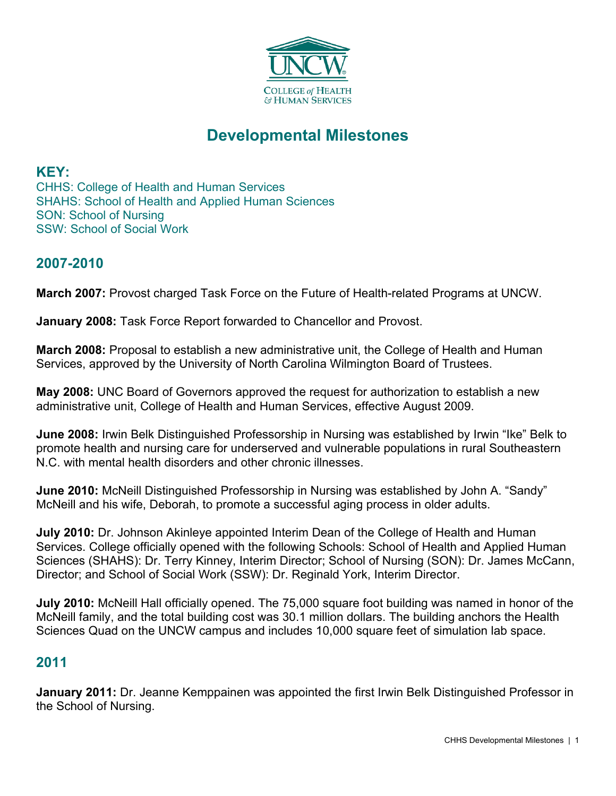

# **Developmental Milestones**

**KEY:**  CHHS: College of Health and Human Services SHAHS: School of Health and Applied Human Sciences SON: School of Nursing SSW: School of Social Work

## **2007-2010**

**March 2007:** Provost charged Task Force on the Future of Health-related Programs at UNCW.

**January 2008:** Task Force Report forwarded to Chancellor and Provost.

**March 2008:** Proposal to establish a new administrative unit, the College of Health and Human Services, approved by the University of North Carolina Wilmington Board of Trustees.

**May 2008:** UNC Board of Governors approved the request for authorization to establish a new administrative unit, College of Health and Human Services, effective August 2009.

**June 2008:** Irwin Belk Distinguished Professorship in Nursing was established by Irwin "Ike" Belk to promote health and nursing care for underserved and vulnerable populations in rural Southeastern N.C. with mental health disorders and other chronic illnesses.

**June 2010:** McNeill Distinguished Professorship in Nursing was established by John A. "Sandy" McNeill and his wife, Deborah, to promote a successful aging process in older adults.

**July 2010:** Dr. Johnson Akinleye appointed Interim Dean of the College of Health and Human Services. College officially opened with the following Schools: School of Health and Applied Human Sciences (SHAHS): Dr. Terry Kinney, Interim Director; School of Nursing (SON): Dr. James McCann, Director; and School of Social Work (SSW): Dr. Reginald York, Interim Director.

**July 2010:** McNeill Hall officially opened. The 75,000 square foot building was named in honor of the McNeill family, and the total building cost was 30.1 million dollars. The building anchors the Health Sciences Quad on the UNCW campus and includes 10,000 square feet of simulation lab space.

#### **2011**

**January 2011:** Dr. Jeanne Kemppainen was appointed the first Irwin Belk Distinguished Professor in the School of Nursing.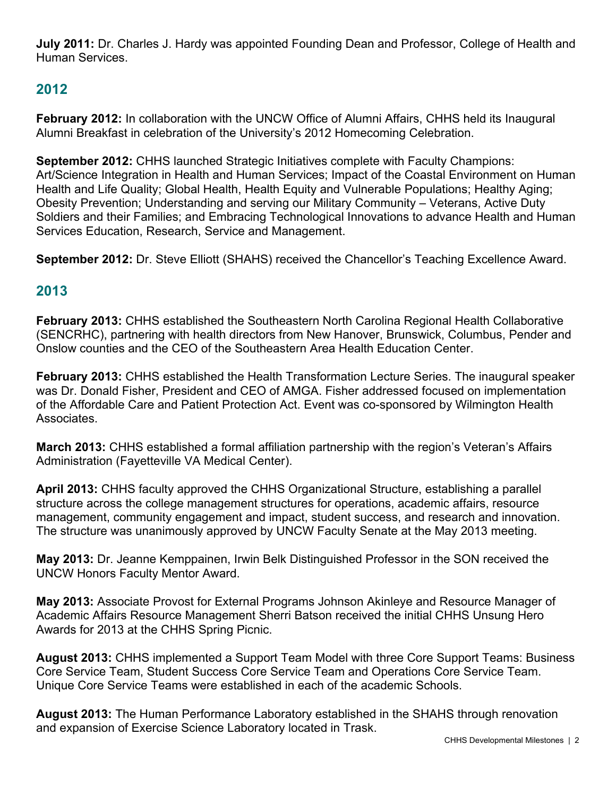**July 2011:** Dr. Charles J. Hardy was appointed Founding Dean and Professor, College of Health and Human Services.

# **2012**

**February 2012:** In collaboration with the UNCW Office of Alumni Affairs, CHHS held its Inaugural Alumni Breakfast in celebration of the University's 2012 Homecoming Celebration.

**September 2012:** CHHS launched Strategic Initiatives complete with Faculty Champions: Art/Science Integration in Health and Human Services; Impact of the Coastal Environment on Human Health and Life Quality; Global Health, Health Equity and Vulnerable Populations; Healthy Aging; Obesity Prevention; Understanding and serving our Military Community – Veterans, Active Duty Soldiers and their Families; and Embracing Technological Innovations to advance Health and Human Services Education, Research, Service and Management.

**September 2012:** Dr. Steve Elliott (SHAHS) received the Chancellor's Teaching Excellence Award.

## **2013**

**February 2013:** CHHS established the Southeastern North Carolina Regional Health Collaborative (SENCRHC), partnering with health directors from New Hanover, Brunswick, Columbus, Pender and Onslow counties and the CEO of the Southeastern Area Health Education Center.

**February 2013:** CHHS established the Health Transformation Lecture Series. The inaugural speaker was Dr. Donald Fisher, President and CEO of AMGA. Fisher addressed focused on implementation of the Affordable Care and Patient Protection Act. Event was co-sponsored by Wilmington Health Associates.

**March 2013:** CHHS established a formal affiliation partnership with the region's Veteran's Affairs Administration (Fayetteville VA Medical Center).

**April 2013:** CHHS faculty approved the CHHS Organizational Structure, establishing a parallel structure across the college management structures for operations, academic affairs, resource management, community engagement and impact, student success, and research and innovation. The structure was unanimously approved by UNCW Faculty Senate at the May 2013 meeting.

**May 2013:** Dr. Jeanne Kemppainen, Irwin Belk Distinguished Professor in the SON received the UNCW Honors Faculty Mentor Award.

**May 2013:** Associate Provost for External Programs Johnson Akinleye and Resource Manager of Academic Affairs Resource Management Sherri Batson received the initial CHHS Unsung Hero Awards for 2013 at the CHHS Spring Picnic.

**August 2013:** CHHS implemented a Support Team Model with three Core Support Teams: Business Core Service Team, Student Success Core Service Team and Operations Core Service Team. Unique Core Service Teams were established in each of the academic Schools.

**August 2013:** The Human Performance Laboratory established in the SHAHS through renovation and expansion of Exercise Science Laboratory located in Trask.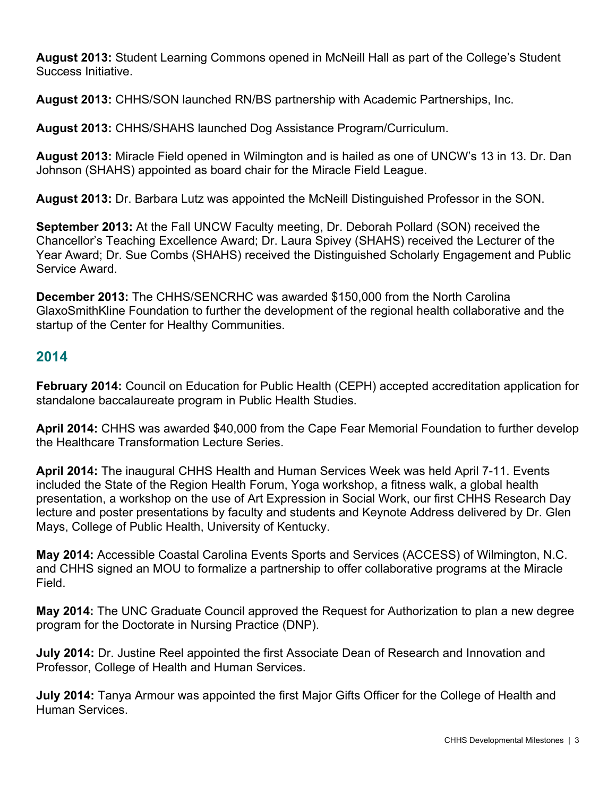**August 2013:** Student Learning Commons opened in McNeill Hall as part of the College's Student Success Initiative.

**August 2013:** CHHS/SON launched RN/BS partnership with Academic Partnerships, Inc.

**August 2013:** CHHS/SHAHS launched Dog Assistance Program/Curriculum.

**August 2013:** Miracle Field opened in Wilmington and is hailed as one of UNCW's 13 in 13. Dr. Dan Johnson (SHAHS) appointed as board chair for the Miracle Field League.

**August 2013:** Dr. Barbara Lutz was appointed the McNeill Distinguished Professor in the SON.

**September 2013:** At the Fall UNCW Faculty meeting, Dr. Deborah Pollard (SON) received the Chancellor's Teaching Excellence Award; Dr. Laura Spivey (SHAHS) received the Lecturer of the Year Award; Dr. Sue Combs (SHAHS) received the Distinguished Scholarly Engagement and Public Service Award.

**December 2013:** The CHHS/SENCRHC was awarded \$150,000 from the North Carolina GlaxoSmithKline Foundation to further the development of the regional health collaborative and the startup of the Center for Healthy Communities.

# **2014**

**February 2014:** Council on Education for Public Health (CEPH) accepted accreditation application for standalone baccalaureate program in Public Health Studies.

**April 2014:** CHHS was awarded \$40,000 from the Cape Fear Memorial Foundation to further develop the Healthcare Transformation Lecture Series.

**April 2014:** The inaugural CHHS Health and Human Services Week was held April 7-11. Events included the State of the Region Health Forum, Yoga workshop, a fitness walk, a global health presentation, a workshop on the use of Art Expression in Social Work, our first CHHS Research Day lecture and poster presentations by faculty and students and Keynote Address delivered by Dr. Glen Mays, College of Public Health, University of Kentucky.

**May 2014:** Accessible Coastal Carolina Events Sports and Services (ACCESS) of Wilmington, N.C. and CHHS signed an MOU to formalize a partnership to offer collaborative programs at the Miracle Field.

**May 2014:** The UNC Graduate Council approved the Request for Authorization to plan a new degree program for the Doctorate in Nursing Practice (DNP).

**July 2014:** Dr. Justine Reel appointed the first Associate Dean of Research and Innovation and Professor, College of Health and Human Services.

**July 2014:** Tanya Armour was appointed the first Major Gifts Officer for the College of Health and Human Services.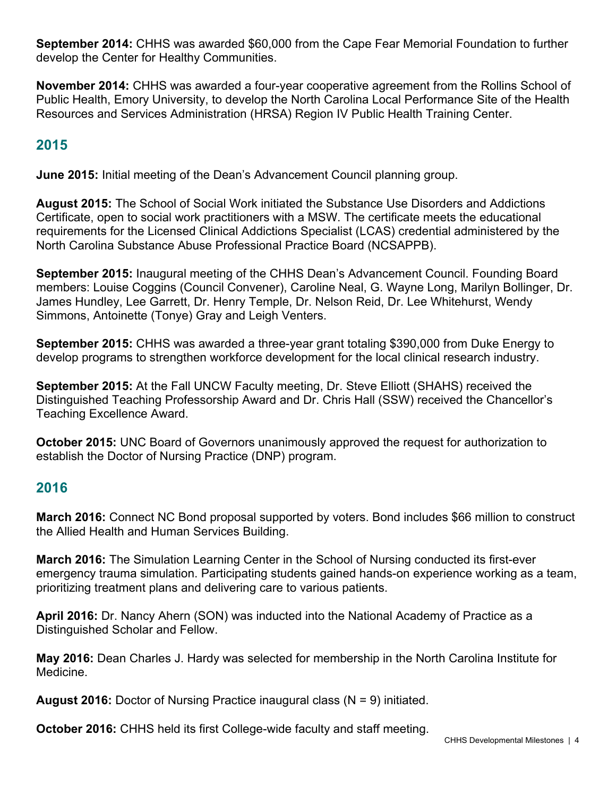**September 2014:** CHHS was awarded \$60,000 from the Cape Fear Memorial Foundation to further develop the Center for Healthy Communities.

**November 2014:** CHHS was awarded a four-year cooperative agreement from the Rollins School of Public Health, Emory University, to develop the North Carolina Local Performance Site of the Health Resources and Services Administration (HRSA) Region IV Public Health Training Center.

# **2015**

**June 2015:** Initial meeting of the Dean's Advancement Council planning group.

**August 2015:** The School of Social Work initiated the Substance Use Disorders and Addictions Certificate, open to social work practitioners with a MSW. The certificate meets the educational requirements for the Licensed Clinical Addictions Specialist (LCAS) credential administered by the North Carolina Substance Abuse Professional Practice Board (NCSAPPB).

**September 2015:** Inaugural meeting of the CHHS Dean's Advancement Council. Founding Board members: Louise Coggins (Council Convener), Caroline Neal, G. Wayne Long, Marilyn Bollinger, Dr. James Hundley, Lee Garrett, Dr. Henry Temple, Dr. Nelson Reid, Dr. Lee Whitehurst, Wendy Simmons, Antoinette (Tonye) Gray and Leigh Venters.

**September 2015:** CHHS was awarded a three-year grant totaling \$390,000 from Duke Energy to develop programs to strengthen workforce development for the local clinical research industry.

**September 2015:** At the Fall UNCW Faculty meeting, Dr. Steve Elliott (SHAHS) received the Distinguished Teaching Professorship Award and Dr. Chris Hall (SSW) received the Chancellor's Teaching Excellence Award.

**October 2015:** UNC Board of Governors unanimously approved the request for authorization to establish the Doctor of Nursing Practice (DNP) program.

## **2016**

**March 2016:** Connect NC Bond proposal supported by voters. Bond includes \$66 million to construct the Allied Health and Human Services Building.

**March 2016:** The Simulation Learning Center in the School of Nursing conducted its first-ever emergency trauma simulation. Participating students gained hands-on experience working as a team, prioritizing treatment plans and delivering care to various patients.

**April 2016:** Dr. Nancy Ahern (SON) was inducted into the National Academy of Practice as a Distinguished Scholar and Fellow.

**May 2016:** Dean Charles J. Hardy was selected for membership in the North Carolina Institute for Medicine.

**August 2016:** Doctor of Nursing Practice inaugural class (N = 9) initiated.

**October 2016:** CHHS held its first College-wide faculty and staff meeting.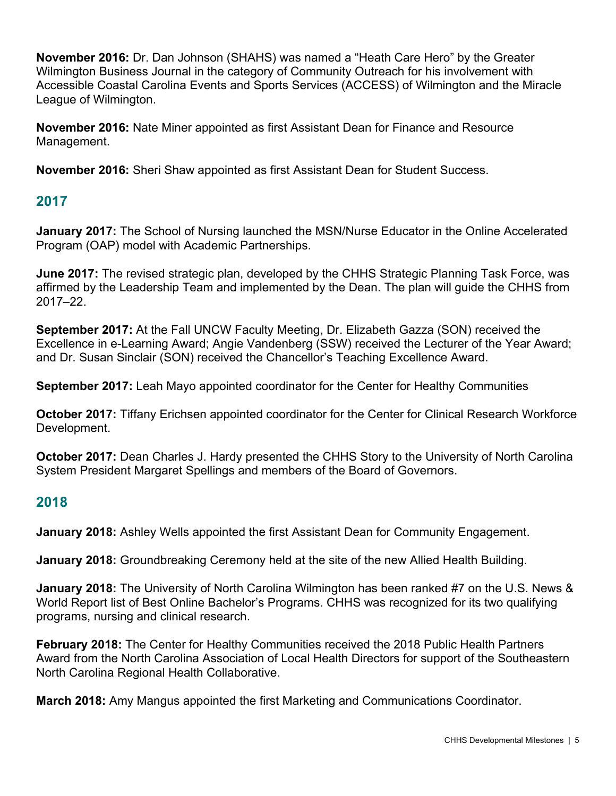**November 2016:** Dr. Dan Johnson (SHAHS) was named a "Heath Care Hero" by the Greater Wilmington Business Journal in the category of Community Outreach for his involvement with Accessible Coastal Carolina Events and Sports Services (ACCESS) of Wilmington and the Miracle League of Wilmington.

**November 2016:** Nate Miner appointed as first Assistant Dean for Finance and Resource Management.

**November 2016:** Sheri Shaw appointed as first Assistant Dean for Student Success.

# **2017**

**January 2017:** The School of Nursing launched the MSN/Nurse Educator in the Online Accelerated Program (OAP) model with Academic Partnerships.

**June 2017:** The revised strategic plan, developed by the CHHS Strategic Planning Task Force, was affirmed by the Leadership Team and implemented by the Dean. The plan will guide the CHHS from 2017–22.

**September 2017:** At the Fall UNCW Faculty Meeting, Dr. Elizabeth Gazza (SON) received the Excellence in e-Learning Award; Angie Vandenberg (SSW) received the Lecturer of the Year Award; and Dr. Susan Sinclair (SON) received the Chancellor's Teaching Excellence Award.

**September 2017:** Leah Mayo appointed coordinator for the Center for Healthy Communities

**October 2017:** Tiffany Erichsen appointed coordinator for the Center for Clinical Research Workforce Development.

**October 2017:** Dean Charles J. Hardy presented the CHHS Story to the University of North Carolina System President Margaret Spellings and members of the Board of Governors.

# **2018**

**January 2018:** Ashley Wells appointed the first Assistant Dean for Community Engagement.

**January 2018:** Groundbreaking Ceremony held at the site of the new Allied Health Building.

**January 2018:** The University of North Carolina Wilmington has been ranked #7 on the U.S. News & World Report list of Best Online Bachelor's Programs. CHHS was recognized for its two qualifying programs, nursing and clinical research.

**February 2018:** The Center for Healthy Communities received the 2018 Public Health Partners Award from the North Carolina Association of Local Health Directors for support of the Southeastern North Carolina Regional Health Collaborative.

**March 2018:** Amy Mangus appointed the first Marketing and Communications Coordinator.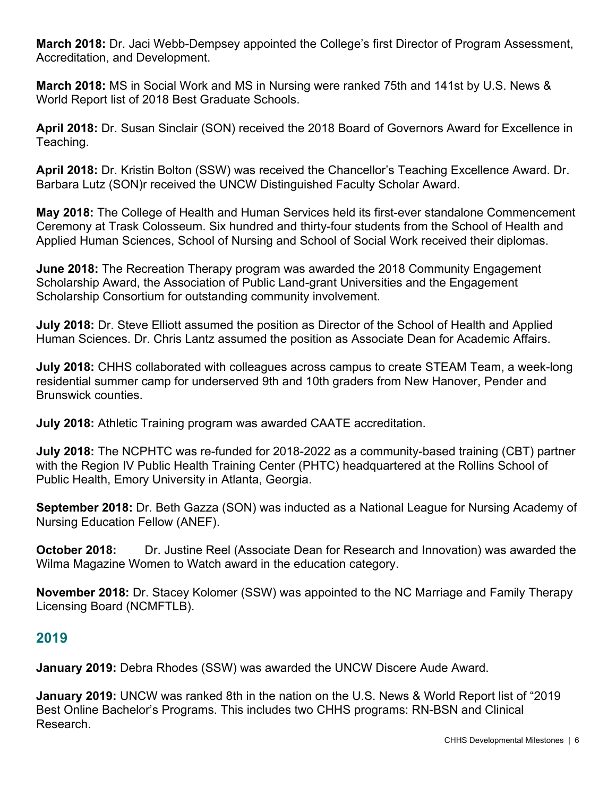**March 2018:** Dr. Jaci Webb-Dempsey appointed the College's first Director of Program Assessment, Accreditation, and Development.

**March 2018:** MS in Social Work and MS in Nursing were ranked 75th and 141st by U.S. News & World Report list of 2018 Best Graduate Schools.

**April 2018:** Dr. Susan Sinclair (SON) received the 2018 Board of Governors Award for Excellence in Teaching.

**April 2018:** Dr. Kristin Bolton (SSW) was received the Chancellor's Teaching Excellence Award. Dr. Barbara Lutz (SON)r received the UNCW Distinguished Faculty Scholar Award.

**May 2018:** The College of Health and Human Services held its first-ever standalone Commencement Ceremony at Trask Colosseum. Six hundred and thirty-four students from the School of Health and Applied Human Sciences, School of Nursing and School of Social Work received their diplomas.

**June 2018:** The Recreation Therapy program was awarded the 2018 Community Engagement Scholarship Award, the Association of Public Land-grant Universities and the Engagement Scholarship Consortium for outstanding community involvement.

**July 2018:** Dr. Steve Elliott assumed the position as Director of the School of Health and Applied Human Sciences. Dr. Chris Lantz assumed the position as Associate Dean for Academic Affairs.

**July 2018:** CHHS collaborated with colleagues across campus to create STEAM Team, a week-long residential summer camp for underserved 9th and 10th graders from New Hanover, Pender and Brunswick counties.

**July 2018:** Athletic Training program was awarded CAATE accreditation.

**July 2018:** The NCPHTC was re-funded for 2018-2022 as a community-based training (CBT) partner with the Region IV Public Health Training Center (PHTC) headquartered at the Rollins School of Public Health, Emory University in Atlanta, Georgia.

**September 2018:** Dr. Beth Gazza (SON) was inducted as a National League for Nursing Academy of Nursing Education Fellow (ANEF).

**October 2018:** Dr. Justine Reel (Associate Dean for Research and Innovation) was awarded the Wilma Magazine Women to Watch award in the education category.

**November 2018:** Dr. Stacey Kolomer (SSW) was appointed to the NC Marriage and Family Therapy Licensing Board (NCMFTLB).

#### **2019**

**January 2019:** Debra Rhodes (SSW) was awarded the UNCW Discere Aude Award.

**January 2019:** UNCW was ranked 8th in the nation on the U.S. News & World Report list of "2019 Best Online Bachelor's Programs. This includes two CHHS programs: RN-BSN and Clinical Research.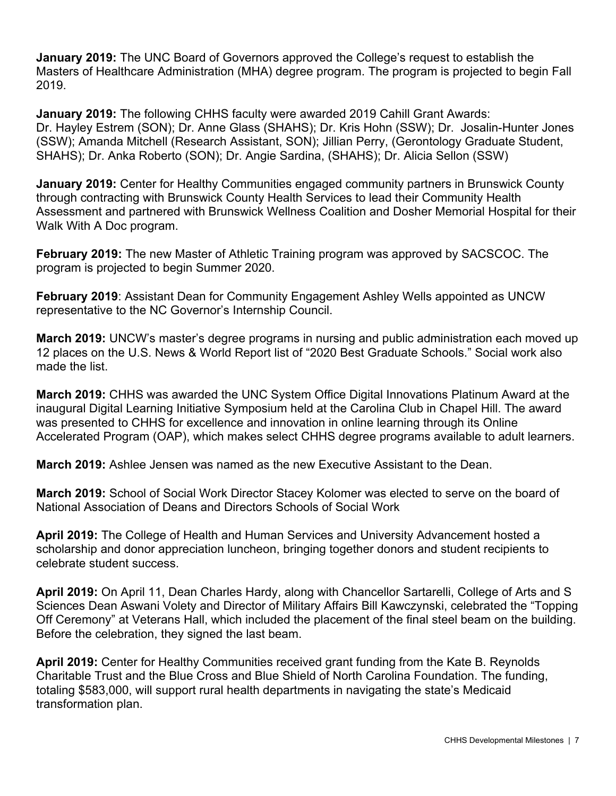**January 2019:** The UNC Board of Governors approved the College's request to establish the Masters of Healthcare Administration (MHA) degree program. The program is projected to begin Fall 2019.

**January 2019:** The following CHHS faculty were awarded 2019 Cahill Grant Awards: Dr. Hayley Estrem (SON); Dr. Anne Glass (SHAHS); Dr. Kris Hohn (SSW); Dr. Josalin-Hunter Jones (SSW); Amanda Mitchell (Research Assistant, SON); Jillian Perry, (Gerontology Graduate Student, SHAHS); Dr. Anka Roberto (SON); Dr. Angie Sardina, (SHAHS); Dr. Alicia Sellon (SSW)

**January 2019:** Center for Healthy Communities engaged community partners in Brunswick County through contracting with Brunswick County Health Services to lead their Community Health Assessment and partnered with Brunswick Wellness Coalition and Dosher Memorial Hospital for their Walk With A Doc program.

**February 2019:** The new Master of Athletic Training program was approved by SACSCOC. The program is projected to begin Summer 2020.

**February 2019**: Assistant Dean for Community Engagement Ashley Wells appointed as UNCW representative to the NC Governor's Internship Council.

**March 2019:** UNCW's master's degree programs in nursing and public administration each moved up 12 places on the U.S. News & World Report list of "2020 Best Graduate Schools." Social work also made the list.

**March 2019:** CHHS was awarded the UNC System Office Digital Innovations Platinum Award at the inaugural Digital Learning Initiative Symposium held at the Carolina Club in Chapel Hill. The award was presented to CHHS for excellence and innovation in online learning through its Online Accelerated Program (OAP), which makes select CHHS degree programs available to adult learners.

**March 2019:** Ashlee Jensen was named as the new Executive Assistant to the Dean.

**March 2019:** School of Social Work Director Stacey Kolomer was elected to serve on the board of National Association of Deans and Directors Schools of Social Work

**April 2019:** The College of Health and Human Services and University Advancement hosted a scholarship and donor appreciation luncheon, bringing together donors and student recipients to celebrate student success.

**April 2019:** On April 11, Dean Charles Hardy, along with Chancellor Sartarelli, College of Arts and S Sciences Dean Aswani Volety and Director of Military Affairs Bill Kawczynski, celebrated the "Topping Off Ceremony" at Veterans Hall, which included the placement of the final steel beam on the building. Before the celebration, they signed the last beam.

**April 2019:** Center for Healthy Communities received grant funding from the Kate B. Reynolds Charitable Trust and the Blue Cross and Blue Shield of North Carolina Foundation. The funding, totaling \$583,000, will support rural health departments in navigating the state's Medicaid transformation plan.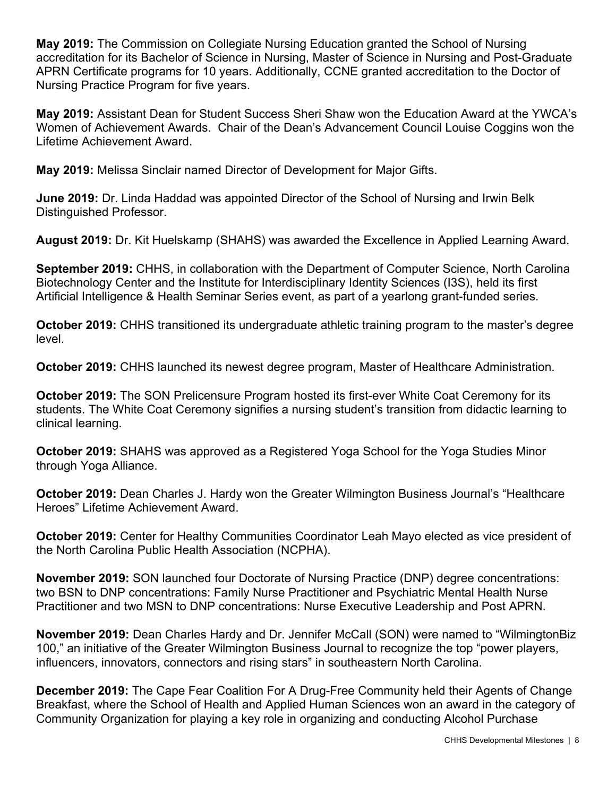**May 2019:** The Commission on Collegiate Nursing Education granted the School of Nursing accreditation for its Bachelor of Science in Nursing, Master of Science in Nursing and Post-Graduate APRN Certificate programs for 10 years. Additionally, CCNE granted accreditation to the Doctor of Nursing Practice Program for five years.

**May 2019:** Assistant Dean for Student Success Sheri Shaw won the Education Award at the YWCA's Women of Achievement Awards. Chair of the Dean's Advancement Council Louise Coggins won the Lifetime Achievement Award.

**May 2019:** Melissa Sinclair named Director of Development for Major Gifts.

**June 2019:** Dr. Linda Haddad was appointed Director of the School of Nursing and Irwin Belk Distinguished Professor.

**August 2019:** Dr. Kit Huelskamp (SHAHS) was awarded the Excellence in Applied Learning Award.

**September 2019:** CHHS, in collaboration with the Department of Computer Science, North Carolina Biotechnology Center and the Institute for Interdisciplinary Identity Sciences (I3S), held its first Artificial Intelligence & Health Seminar Series event, as part of a yearlong grant-funded series.

**October 2019:** CHHS transitioned its undergraduate athletic training program to the master's degree level.

**October 2019:** CHHS launched its newest degree program, Master of Healthcare Administration.

**October 2019:** The SON Prelicensure Program hosted its first-ever White Coat Ceremony for its students. The White Coat Ceremony signifies a nursing student's transition from didactic learning to clinical learning.

**October 2019:** SHAHS was approved as a Registered Yoga School for the Yoga Studies Minor through Yoga Alliance.

**October 2019:** Dean Charles J. Hardy won the Greater Wilmington Business Journal's "Healthcare Heroes" Lifetime Achievement Award.

**October 2019:** Center for Healthy Communities Coordinator Leah Mayo elected as vice president of the North Carolina Public Health Association (NCPHA).

**November 2019:** SON launched four Doctorate of Nursing Practice (DNP) degree concentrations: two BSN to DNP concentrations: Family Nurse Practitioner and Psychiatric Mental Health Nurse Practitioner and two MSN to DNP concentrations: Nurse Executive Leadership and Post APRN.

**November 2019:** Dean Charles Hardy and Dr. Jennifer McCall (SON) were named to "WilmingtonBiz 100," an initiative of the Greater Wilmington Business Journal to recognize the top "power players, influencers, innovators, connectors and rising stars" in southeastern North Carolina.

**December 2019:** The Cape Fear Coalition For A Drug-Free Community held their Agents of Change Breakfast, where the School of Health and Applied Human Sciences won an award in the category of Community Organization for playing a key role in organizing and conducting Alcohol Purchase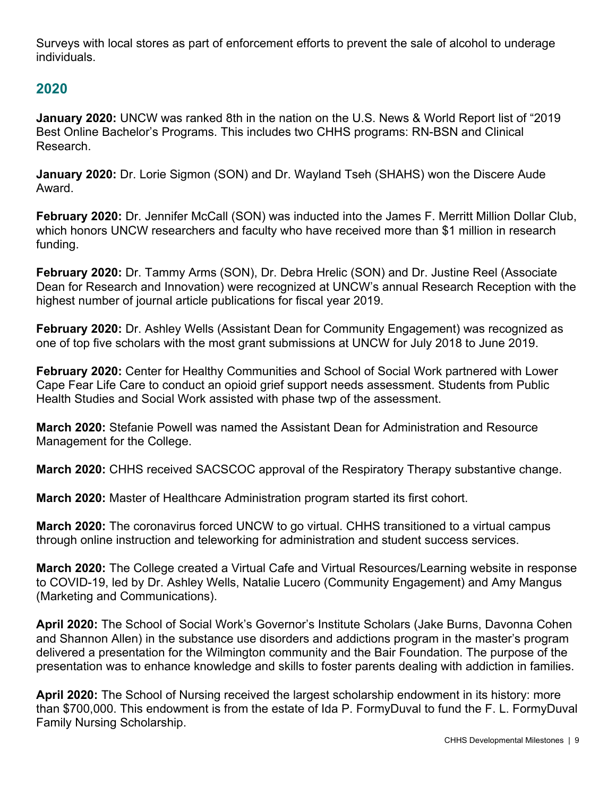Surveys with local stores as part of enforcement efforts to prevent the sale of alcohol to underage individuals.

#### **2020**

**January 2020:** UNCW was ranked 8th in the nation on the U.S. News & World Report list of "2019 Best Online Bachelor's Programs. This includes two CHHS programs: RN-BSN and Clinical Research.

**January 2020:** Dr. Lorie Sigmon (SON) and Dr. Wayland Tseh (SHAHS) won the Discere Aude Award.

**February 2020:** Dr. Jennifer McCall (SON) was inducted into the James F. Merritt Million Dollar Club, which honors UNCW researchers and faculty who have received more than \$1 million in research funding.

**February 2020:** Dr. Tammy Arms (SON), Dr. Debra Hrelic (SON) and Dr. Justine Reel (Associate Dean for Research and Innovation) were recognized at UNCW's annual Research Reception with the highest number of journal article publications for fiscal year 2019.

**February 2020:** Dr. Ashley Wells (Assistant Dean for Community Engagement) was recognized as one of top five scholars with the most grant submissions at UNCW for July 2018 to June 2019.

**February 2020:** Center for Healthy Communities and School of Social Work partnered with Lower Cape Fear Life Care to conduct an opioid grief support needs assessment. Students from Public Health Studies and Social Work assisted with phase twp of the assessment.

**March 2020:** Stefanie Powell was named the Assistant Dean for Administration and Resource Management for the College.

**March 2020:** CHHS received SACSCOC approval of the Respiratory Therapy substantive change.

**March 2020:** Master of Healthcare Administration program started its first cohort.

**March 2020:** The coronavirus forced UNCW to go virtual. CHHS transitioned to a virtual campus through online instruction and teleworking for administration and student success services.

**March 2020:** The College created a Virtual Cafe and Virtual Resources/Learning website in response to COVID-19, led by Dr. Ashley Wells, Natalie Lucero (Community Engagement) and Amy Mangus (Marketing and Communications).

**April 2020:** The School of Social Work's Governor's Institute Scholars (Jake Burns, Davonna Cohen and Shannon Allen) in the substance use disorders and addictions program in the master's program delivered a presentation for the Wilmington community and the Bair Foundation. The purpose of the presentation was to enhance knowledge and skills to foster parents dealing with addiction in families.

**April 2020:** The School of Nursing received the largest scholarship endowment in its history: more than \$700,000. This endowment is from the estate of Ida P. FormyDuval to fund the F. L. FormyDuval Family Nursing Scholarship.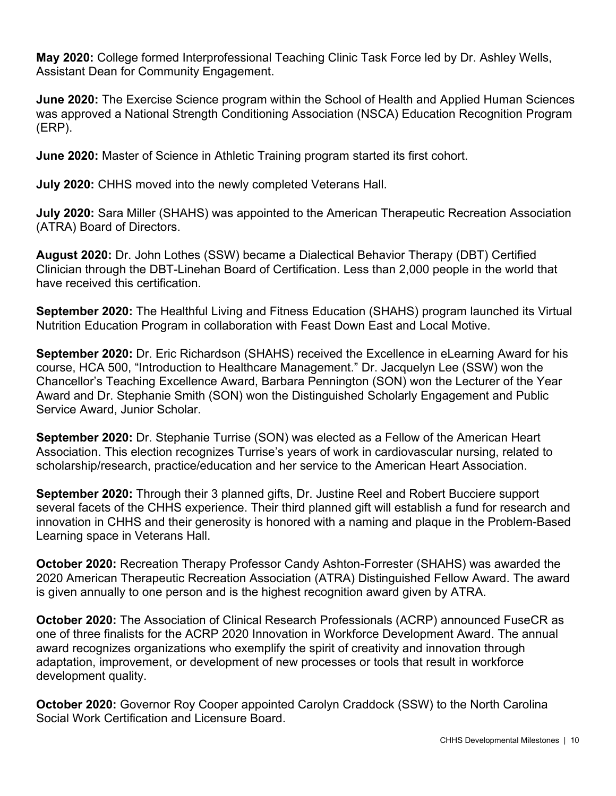**May 2020:** College formed Interprofessional Teaching Clinic Task Force led by Dr. Ashley Wells, Assistant Dean for Community Engagement.

**June 2020:** The Exercise Science program within the School of Health and Applied Human Sciences was approved a National Strength Conditioning Association (NSCA) Education Recognition Program (ERP).

**June 2020:** Master of Science in Athletic Training program started its first cohort.

**July 2020:** CHHS moved into the newly completed Veterans Hall.

**July 2020:** Sara Miller (SHAHS) was appointed to the American Therapeutic Recreation Association (ATRA) Board of Directors.

**August 2020:** Dr. John Lothes (SSW) became a Dialectical Behavior Therapy (DBT) Certified Clinician through the DBT-Linehan Board of Certification. Less than 2,000 people in the world that have received this certification.

**September 2020:** The Healthful Living and Fitness Education (SHAHS) program launched its Virtual Nutrition Education Program in collaboration with Feast Down East and Local Motive.

**September 2020:** Dr. Eric Richardson (SHAHS) received the Excellence in eLearning Award for his course, HCA 500, "Introduction to Healthcare Management." Dr. Jacquelyn Lee (SSW) won the Chancellor's Teaching Excellence Award, Barbara Pennington (SON) won the Lecturer of the Year Award and Dr. Stephanie Smith (SON) won the Distinguished Scholarly Engagement and Public Service Award, Junior Scholar.

**September 2020:** Dr. Stephanie Turrise (SON) was elected as a Fellow of the American Heart Association. This election recognizes Turrise's years of work in cardiovascular nursing, related to scholarship/research, practice/education and her service to the American Heart Association.

**September 2020:** Through their 3 planned gifts, Dr. Justine Reel and Robert Bucciere support several facets of the CHHS experience. Their third planned gift will establish a fund for research and innovation in CHHS and their generosity is honored with a naming and plaque in the Problem-Based Learning space in Veterans Hall.

**October 2020:** Recreation Therapy Professor Candy Ashton-Forrester (SHAHS) was awarded the 2020 American Therapeutic Recreation Association (ATRA) Distinguished Fellow Award. The award is given annually to one person and is the highest recognition award given by ATRA.

**October 2020:** The Association of Clinical Research Professionals (ACRP) announced FuseCR as one of three finalists for the ACRP 2020 Innovation in Workforce Development Award. The annual award recognizes organizations who exemplify the spirit of creativity and innovation through adaptation, improvement, or development of new processes or tools that result in workforce development quality.

**October 2020:** Governor Roy Cooper appointed Carolyn Craddock (SSW) to the North Carolina Social Work Certification and Licensure Board.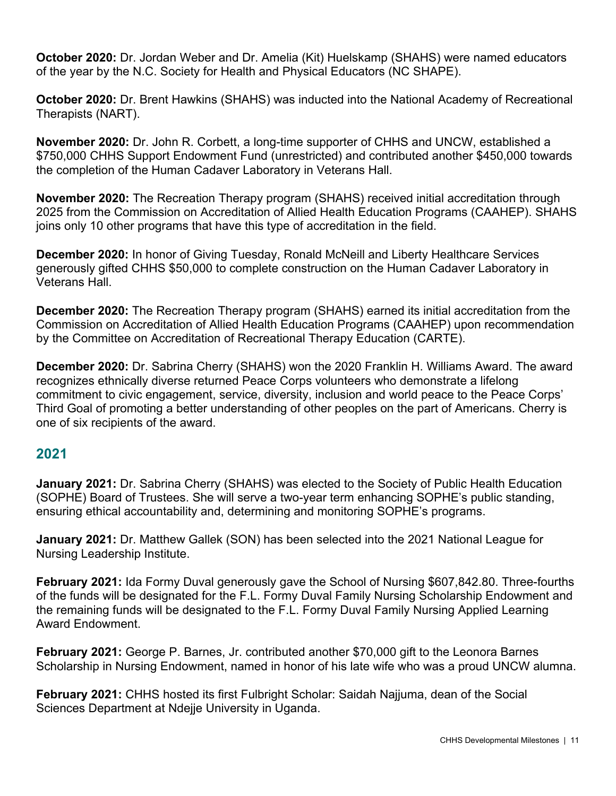**October 2020:** Dr. Jordan Weber and Dr. Amelia (Kit) Huelskamp (SHAHS) were named educators of the year by the N.C. Society for Health and Physical Educators (NC SHAPE).

**October 2020:** Dr. Brent Hawkins (SHAHS) was inducted into the National Academy of Recreational Therapists (NART).

**November 2020:** Dr. John R. Corbett, a long-time supporter of CHHS and UNCW, established a \$750,000 CHHS Support Endowment Fund (unrestricted) and contributed another \$450,000 towards the completion of the Human Cadaver Laboratory in Veterans Hall.

**November 2020:** The Recreation Therapy program (SHAHS) received initial accreditation through 2025 from the Commission on Accreditation of Allied Health Education Programs (CAAHEP). SHAHS joins only 10 other programs that have this type of accreditation in the field.

**December 2020:** In honor of Giving Tuesday, Ronald McNeill and Liberty Healthcare Services generously gifted CHHS \$50,000 to complete construction on the Human Cadaver Laboratory in Veterans Hall.

**December 2020:** The Recreation Therapy program (SHAHS) earned its initial accreditation from the Commission on Accreditation of Allied Health Education Programs (CAAHEP) upon recommendation by the Committee on Accreditation of Recreational Therapy Education (CARTE).

**December 2020:** Dr. Sabrina Cherry (SHAHS) won the 2020 Franklin H. Williams Award. The award recognizes ethnically diverse returned Peace Corps volunteers who demonstrate a lifelong commitment to civic engagement, service, diversity, inclusion and world peace to the Peace Corps' Third Goal of promoting a better understanding of other peoples on the part of Americans. Cherry is one of six recipients of the award.

## **2021**

**January 2021:** Dr. Sabrina Cherry (SHAHS) was elected to the Society of Public Health Education (SOPHE) Board of Trustees. She will serve a two-year term enhancing SOPHE's public standing, ensuring ethical accountability and, determining and monitoring SOPHE's programs.

**January 2021:** Dr. Matthew Gallek (SON) has been selected into the 2021 National League for Nursing Leadership Institute.

**February 2021:** Ida Formy Duval generously gave the School of Nursing \$607,842.80. Three-fourths of the funds will be designated for the F.L. Formy Duval Family Nursing Scholarship Endowment and the remaining funds will be designated to the F.L. Formy Duval Family Nursing Applied Learning Award Endowment.

**February 2021:** George P. Barnes, Jr. contributed another \$70,000 gift to the Leonora Barnes Scholarship in Nursing Endowment, named in honor of his late wife who was a proud UNCW alumna.

**February 2021:** CHHS hosted its first Fulbright Scholar: Saidah Najjuma, dean of the Social Sciences Department at Ndejje University in Uganda.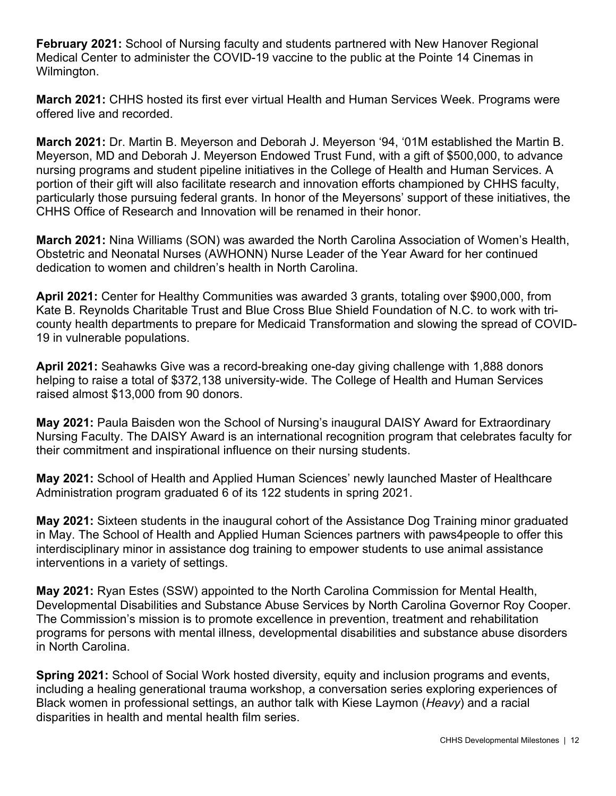**February 2021:** School of Nursing faculty and students partnered with New Hanover Regional Medical Center to administer the COVID-19 vaccine to the public at the Pointe 14 Cinemas in Wilmington.

**March 2021:** CHHS hosted its first ever virtual Health and Human Services Week. Programs were offered live and recorded.

**March 2021:** Dr. Martin B. Meyerson and Deborah J. Meyerson '94, '01M established the Martin B. Meyerson, MD and Deborah J. Meyerson Endowed Trust Fund, with a gift of \$500,000, to advance nursing programs and student pipeline initiatives in the College of Health and Human Services. A portion of their gift will also facilitate research and innovation efforts championed by CHHS faculty, particularly those pursuing federal grants. In honor of the Meyersons' support of these initiatives, the CHHS Office of Research and Innovation will be renamed in their honor.

**March 2021:** Nina Williams (SON) was awarded the North Carolina Association of Women's Health, Obstetric and Neonatal Nurses (AWHONN) Nurse Leader of the Year Award for her continued dedication to women and children's health in North Carolina.

**April 2021:** Center for Healthy Communities was awarded 3 grants, totaling over \$900,000, from Kate B. Reynolds Charitable Trust and Blue Cross Blue Shield Foundation of N.C. to work with tricounty health departments to prepare for Medicaid Transformation and slowing the spread of COVID-19 in vulnerable populations.

**April 2021:** Seahawks Give was a record-breaking one-day giving challenge with 1,888 donors helping to raise a total of \$372,138 university-wide. The College of Health and Human Services raised almost \$13,000 from 90 donors.

**May 2021:** Paula Baisden won the School of Nursing's inaugural DAISY Award for Extraordinary Nursing Faculty. The DAISY Award is an international recognition program that celebrates faculty for their commitment and inspirational influence on their nursing students.

**May 2021:** School of Health and Applied Human Sciences' newly launched Master of Healthcare Administration program graduated 6 of its 122 students in spring 2021.

**May 2021:** Sixteen students in the inaugural cohort of the Assistance Dog Training minor graduated in May. The School of Health and Applied Human Sciences partners with paws4people to offer this interdisciplinary minor in assistance dog training to empower students to use animal assistance interventions in a variety of settings.

**May 2021:** Ryan Estes (SSW) appointed to the North Carolina Commission for Mental Health, Developmental Disabilities and Substance Abuse Services by North Carolina Governor Roy Cooper. The Commission's mission is to promote excellence in prevention, treatment and rehabilitation programs for persons with mental illness, developmental disabilities and substance abuse disorders in North Carolina.

**Spring 2021:** School of Social Work hosted diversity, equity and inclusion programs and events, including a healing generational trauma workshop, a conversation series exploring experiences of Black women in professional settings, an author talk with Kiese Laymon (*Heavy*) and a racial disparities in health and mental health film series.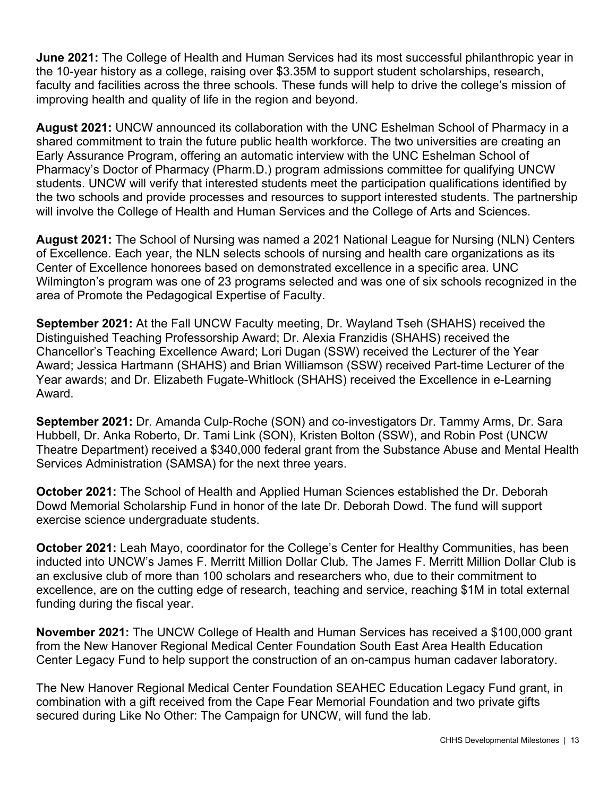**June 2021:** The College of Health and Human Services had its most successful philanthropic year in the 10-year history as a college, raising over \$3.35M to support student scholarships, research, faculty and facilities across the three schools. These funds will help to drive the college's mission of improving health and quality of life in the region and beyond.

**August 2021:** UNCW announced its collaboration with the UNC Eshelman School of Pharmacy in a shared commitment to train the future public health workforce. The two universities are creating an Early Assurance Program, offering an automatic interview with the UNC Eshelman School of Pharmacy's Doctor of Pharmacy (Pharm.D.) program admissions committee for qualifying UNCW students. UNCW will verify that interested students meet the participation qualifications identified by the two schools and provide processes and resources to support interested students. The partnership will involve the College of Health and Human Services and the College of Arts and Sciences.

**August 2021:** The School of Nursing was named a 2021 National League for Nursing (NLN) Centers of Excellence. Each year, the NLN selects schools of nursing and health care organizations as its Center of Excellence honorees based on demonstrated excellence in a specific area. UNC Wilmington's program was one of 23 programs selected and was one of six schools recognized in the area of Promote the Pedagogical Expertise of Faculty.

**September 2021:** At the Fall UNCW Faculty meeting, Dr. Wayland Tseh (SHAHS) received the Distinguished Teaching Professorship Award; Dr. Alexia Franzidis (SHAHS) received the Chancellor's Teaching Excellence Award; Lori Dugan (SSW) received the Lecturer of the Year Award; Jessica Hartmann (SHAHS) and Brian Williamson (SSW) received Part-time Lecturer of the Year awards; and Dr. Elizabeth Fugate-Whitlock (SHAHS) received the Excellence in e-Learning Award.

**September 2021:** Dr. Amanda Culp-Roche (SON) and co-investigators Dr. Tammy Arms, Dr. Sara Hubbell, Dr. Anka Roberto, Dr. Tami Link (SON), Kristen Bolton (SSW), and Robin Post (UNCW Theatre Department) received a \$340,000 federal grant from the Substance Abuse and Mental Health Services Administration (SAMSA) for the next three years.

**October 2021:** The School of Health and Applied Human Sciences established the Dr. Deborah Dowd Memorial Scholarship Fund in honor of the late Dr. Deborah Dowd. The fund will support exercise science undergraduate students.

**October 2021:** Leah Mayo, coordinator for the College's Center for Healthy Communities, has been inducted into UNCW's James F. Merritt Million Dollar Club. The James F. Merritt Million Dollar Club is an exclusive club of more than 100 scholars and researchers who, due to their commitment to excellence, are on the cutting edge of research, teaching and service, reaching \$1M in total external funding during the fiscal year.

**November 2021:** The UNCW College of Health and Human Services has received a \$100,000 grant from the New Hanover Regional Medical Center Foundation South East Area Health Education Center Legacy Fund to help support the construction of an on-campus human cadaver laboratory.

The New Hanover Regional Medical Center Foundation SEAHEC Education Legacy Fund grant, in combination with a gift received from the Cape Fear Memorial Foundation and two private gifts secured during Like No Other: The Campaign for UNCW, will fund the lab.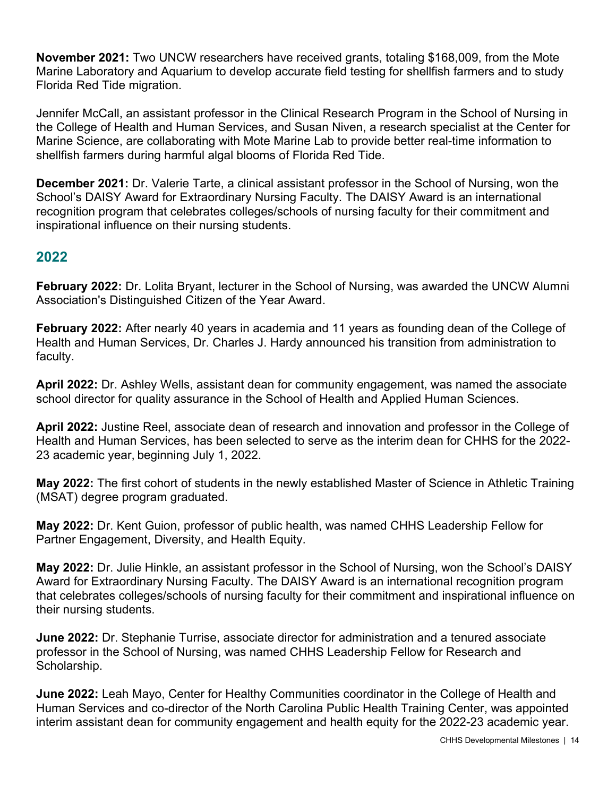**November 2021:** Two UNCW researchers have received grants, totaling \$168,009, from the Mote Marine Laboratory and Aquarium to develop accurate field testing for shellfish farmers and to study Florida Red Tide migration.

Jennifer McCall, an assistant professor in the Clinical Research Program in the School of Nursing in the College of Health and Human Services, and Susan Niven, a research specialist at the Center for Marine Science, are collaborating with Mote Marine Lab to provide better real-time information to shellfish farmers during harmful algal blooms of Florida Red Tide.

**December 2021:** Dr. Valerie Tarte, a clinical assistant professor in the School of Nursing, won the School's DAISY Award for Extraordinary Nursing Faculty. The DAISY Award is an international recognition program that celebrates colleges/schools of nursing faculty for their commitment and inspirational influence on their nursing students.

#### **2022**

**February 2022:** Dr. Lolita Bryant, lecturer in the School of Nursing, was awarded the UNCW Alumni Association's Distinguished Citizen of the Year Award.

**February 2022:** After nearly 40 years in academia and 11 years as founding dean of the College of Health and Human Services, Dr. Charles J. Hardy announced his transition from administration to faculty.

**April 2022:** Dr. Ashley Wells, assistant dean for community engagement, was named the associate school director for quality assurance in the School of Health and Applied Human Sciences.

**April 2022:** Justine Reel, associate dean of research and innovation and professor in the College of Health and Human Services, has been selected to serve as the interim dean for CHHS for the 2022- 23 academic year, beginning July 1, 2022.

**May 2022:** The first cohort of students in the newly established Master of Science in Athletic Training (MSAT) degree program graduated.

**May 2022:** Dr. Kent Guion, professor of public health, was named CHHS Leadership Fellow for Partner Engagement, Diversity, and Health Equity.

**May 2022:** Dr. Julie Hinkle, an assistant professor in the School of Nursing, won the School's DAISY Award for Extraordinary Nursing Faculty. The DAISY Award is an international recognition program that celebrates colleges/schools of nursing faculty for their commitment and inspirational influence on their nursing students.

**June 2022:** Dr. Stephanie Turrise, associate director for administration and a tenured associate professor in the School of Nursing, was named CHHS Leadership Fellow for Research and Scholarship.

**June 2022:** Leah Mayo, Center for Healthy Communities coordinator in the College of Health and Human Services and co-director of the North Carolina Public Health Training Center, was appointed interim assistant dean for community engagement and health equity for the 2022-23 academic year.